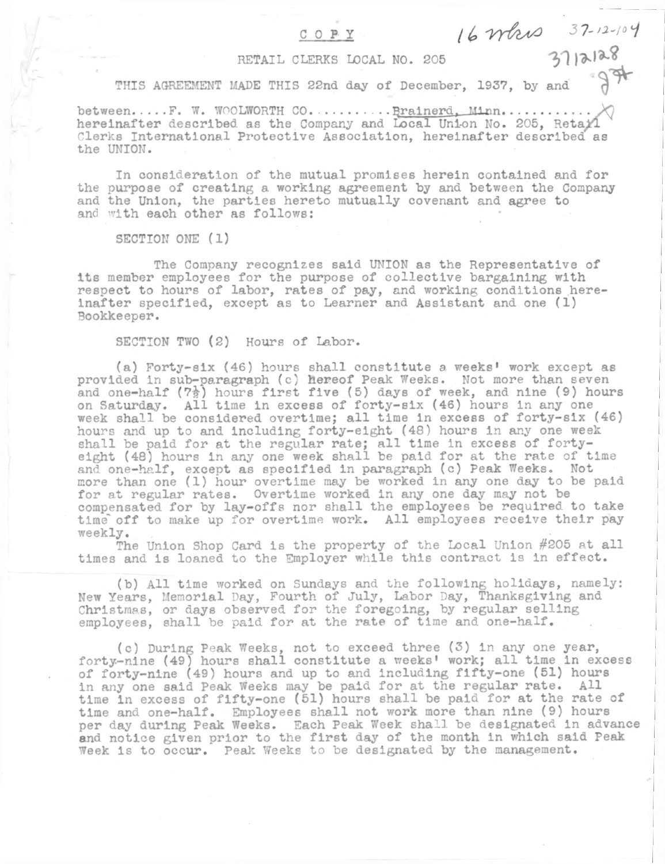# **COPY**

**/** *b 'VY&sVO 3 '7-/2-'IOij* **311**\* **1**\*\*

# **RETAIL CLERKS LOCAL NO. 205**

**THIS AGREEMENT MADE THIS 22nd day of December, 1937, by and** *•1+*

between.....F. W. WOOLWORTH CO. ......... Brainerd, Minn............ **hereinafter described as the Company and Local Unl-on No. 205, Retail Clerks International Protective Association, hereinafter described\* as the UNION.**

**In consideration of the mutual promises herein contained and for the purpose of creating a working agreement by and between the Company and the Union, the parties hereto mutually covenant and agree to and with each other as follows:**

**SECTION ONE (1)**

/

**The Company recognizes said UNION as the Representative of its member employees for the purpose of collective bargaining with respect to hours of labor, rates of pay, and working conditions hereinafter specified, except as to Learner and Assistant and one (1) Bookkeeper.**

**SECTION TWO (2) Hours of Labor.**

**(a) Forty-elx (46) hours shall constitute** *a* **weeks' work except as provided in sub-paragraph (c) hereof Peak Weeks. Not more than seven and one-half (7^) hours first five (5) days of week, and nine (9) hours on Saturday. All time in excess of forty-six (46) hours in any one week shall be considered overtime; all time in excess of forty-six (46) hours and up to and including forty-eight (48) hours in any one week shall be paid for at the regular rate; all time in excess of fortyeight (48) hours in any one week shall be paid for at the rate of time and one-half, except as specified in paragraph (c) Peak Weeks. Not more than one (1) hour overtime may be worked in any one day to be paid for at regular rates. Overtime worked in any one day may not be compensated for by lay-offs nor shall the employees be required to take time' off to make up for overtime work. All employees receive their pay weekly.**

**The Union Shop Card is the property of the Local Union #205 at all times and is loaned to the Employer while this contract is In effect.**

**(b) All time worked on Sundays and the following holidays, namely: New Years, Memorial Day, Fourth of July, Labor Day, Thanksgiving and Christmas, or days observed for the foregoing, by regular selling employees, shall be paid for at the rate of time and one-half.**

**(c) During Peak Weeks, not to exceed three (3) In any one year, forty-nine (49) hours shall constitute a weeks' work; all time in excess of forty-nine (49) hours and up to and including fifty-one (51) hours in any one said Peak Weeks may be paid for at the regular rate. All time in excess of fifty-one (51) hours shall be paid for at the rate of time and one-half. Employees shall not work more than nine (9) hours per day during Peak Weeks. Each Peak Week shall be designated in advance and notice given prior to the first day of the month in which said Peak Week is to occur. Peak Weeks to be designated by the management.**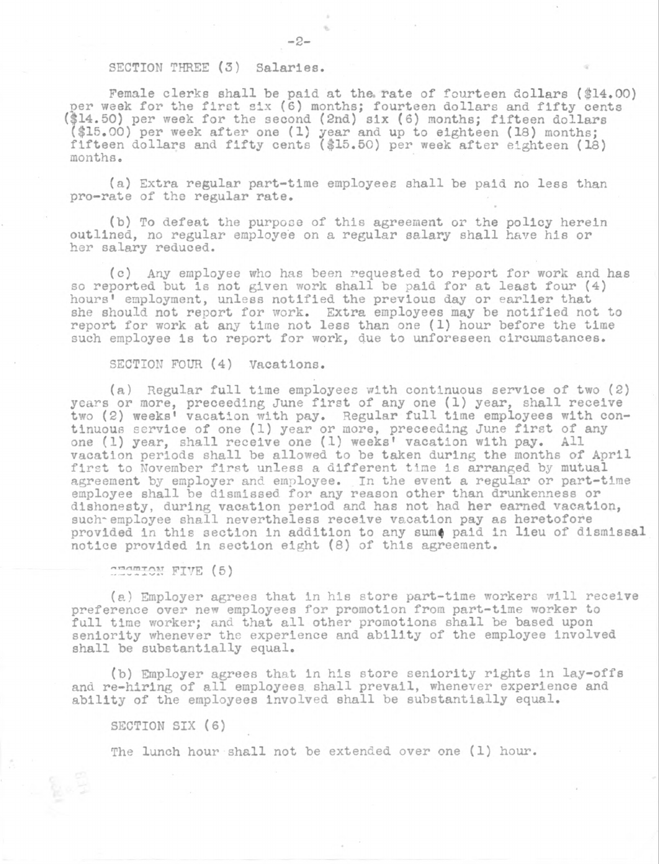## **SECTION THREE (3) Salaries.**

**Female clerks shall be paid at the. rate of fourteen dollars (\$14.00) per week for the first six (6) months; fourteen dollars and fifty cents (\$14.50) per week for the second (2nd) six (6) months; fifteen dollars (\$15.90) per week after one (1) year and up to eighteen (18) months; fifteen dollars and fifty cents (\$15.50) per week after eighteen (18) months.**

**(a) Extra regular part-time employees shall be paid no less than pro-rate of the regular rate.**

- **2**-

**(b) To defeat the purpose of this agreement or the policy herein outlined, no regular employee on a regular salary shall have his or her salary reduced.**

**(c) Any employee who has been requested to report for work and has so reported but is not given work shall be paid for at least four (4) hours' employment, unless notified the previous day or earlier that she should not report for work. Extra employees may be notified not to report for work at any time not less than one (1) hour before the time such employee is to report for work, due to unforeseen circumstances.**

## **SECTION FOUR (4) Vacations.**

**(a) Regular full time employees with continuous service of two (2) years or more, preceeding June first of any one (1) year, shall receive two (2) weeks' vacation with pay. Regular full time employees with continuous service of one (1) year or more, preceeding June first of any one (1) year, shall receive one (1) weeks' vacation with pay. All vacation periods shall be allowed to be taken during the months of April first to November first unless a different time is arranged by mutual agreement by employer and employee. In the event a regular or part-time employee shall be dismissed for any reason other than drunkenness or dishonesty, during vacation period and has not had her earned vacation,** such employee shall nevertheless receive vacation pay as heretofore **provided in this section in addition to any sum< paid in lieu of dismissal notice provided in section eight (8) of this agreement.**

**SECTION FIVE (5)**

**(a) Employer agrees that in his store part-time workers will receive preference over new employees for promotion from part-time worker to full time worker; and that all other promotions shall be based upon seniority whenever the experience and ability of the employee Involved shall be substantially equal.**

**(b) Employer agrees that in his store seniority rights in lay-offs and re-hiring of all employees shall prevail, whenever experience and ability of the employees involved shall be substantially equal.**

**SECTION SIX (6)**

**The lunch hour shall not be extended over one (1) hour.**